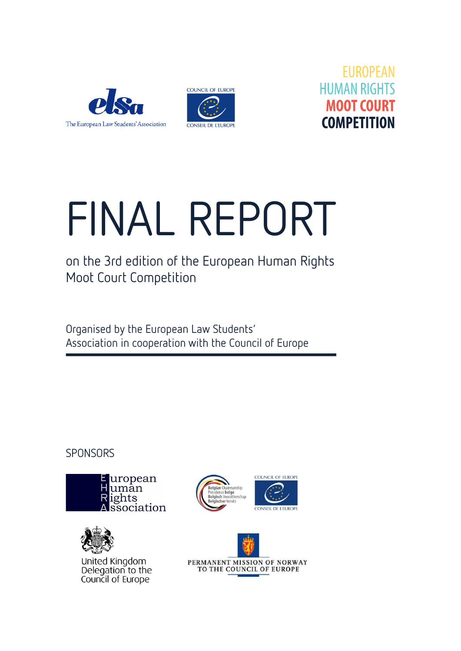





# FINAL REPORT

on the 3rd edition of the European Human Rights Moot Court Competition

Organised by the European Law Students' Association in cooperation with the Council of Europe

**SPONSORS** 





United Kingdom Delegation to the Council of Europe



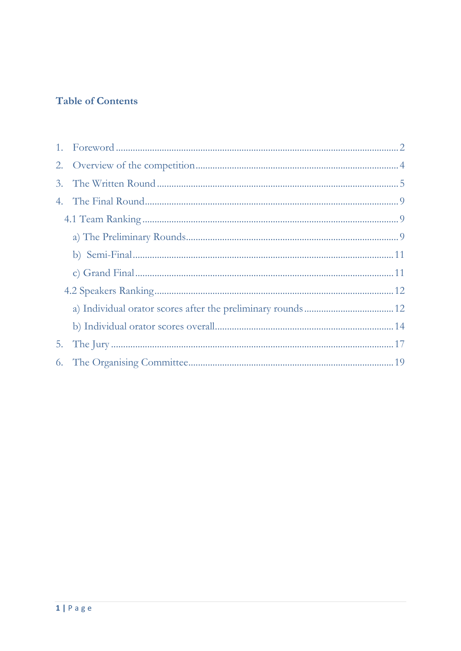# **Table of Contents**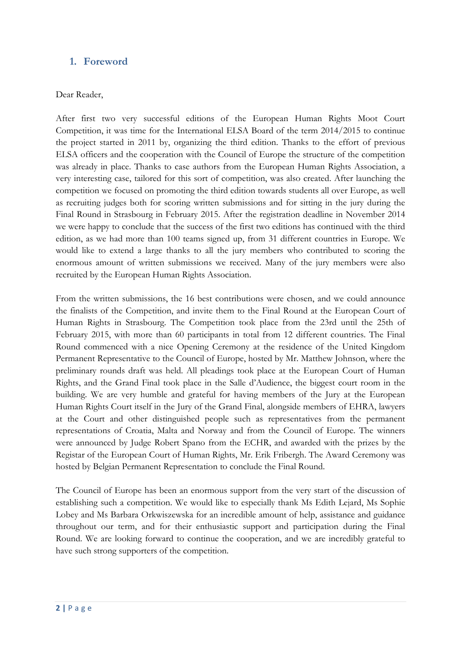## <span id="page-2-0"></span>**1. Foreword**

#### Dear Reader,

After first two very successful editions of the European Human Rights Moot Court Competition, it was time for the International ELSA Board of the term 2014/2015 to continue the project started in 2011 by, organizing the third edition. Thanks to the effort of previous ELSA officers and the cooperation with the Council of Europe the structure of the competition was already in place. Thanks to case authors from the European Human Rights Association, a very interesting case, tailored for this sort of competition, was also created. After launching the competition we focused on promoting the third edition towards students all over Europe, as well as recruiting judges both for scoring written submissions and for sitting in the jury during the Final Round in Strasbourg in February 2015. After the registration deadline in November 2014 we were happy to conclude that the success of the first two editions has continued with the third edition, as we had more than 100 teams signed up, from 31 different countries in Europe. We would like to extend a large thanks to all the jury members who contributed to scoring the enormous amount of written submissions we received. Many of the jury members were also recruited by the European Human Rights Association.

From the written submissions, the 16 best contributions were chosen, and we could announce the finalists of the Competition, and invite them to the Final Round at the European Court of Human Rights in Strasbourg. The Competition took place from the 23rd until the 25th of February 2015, with more than 60 participants in total from 12 different countries. The Final Round commenced with a nice Opening Ceremony at the residence of the United Kingdom Permanent Representative to the Council of Europe, hosted by Mr. Matthew Johnson, where the preliminary rounds draft was held. All pleadings took place at the European Court of Human Rights, and the Grand Final took place in the Salle d'Audience, the biggest court room in the building. We are very humble and grateful for having members of the Jury at the European Human Rights Court itself in the Jury of the Grand Final, alongside members of EHRA, lawyers at the Court and other distinguished people such as representatives from the permanent representations of Croatia, Malta and Norway and from the Council of Europe. The winners were announced by Judge Robert Spano from the ECHR, and awarded with the prizes by the Registar of the European Court of Human Rights, Mr. Erik Fribergh. The Award Ceremony was hosted by Belgian Permanent Representation to conclude the Final Round.

The Council of Europe has been an enormous support from the very start of the discussion of establishing such a competition. We would like to especially thank Ms Edith Lejard, Ms Sophie Lobey and Ms Barbara Orkwiszewska for an incredible amount of help, assistance and guidance throughout our term, and for their enthusiastic support and participation during the Final Round. We are looking forward to continue the cooperation, and we are incredibly grateful to have such strong supporters of the competition.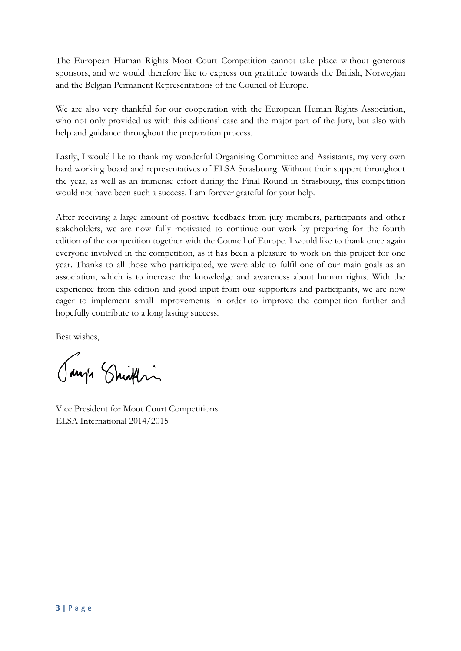The European Human Rights Moot Court Competition cannot take place without generous sponsors, and we would therefore like to express our gratitude towards the British, Norwegian and the Belgian Permanent Representations of the Council of Europe.

We are also very thankful for our cooperation with the European Human Rights Association, who not only provided us with this editions' case and the major part of the Jury, but also with help and guidance throughout the preparation process.

Lastly, I would like to thank my wonderful Organising Committee and Assistants, my very own hard working board and representatives of ELSA Strasbourg. Without their support throughout the year, as well as an immense effort during the Final Round in Strasbourg, this competition would not have been such a success. I am forever grateful for your help.

After receiving a large amount of positive feedback from jury members, participants and other stakeholders, we are now fully motivated to continue our work by preparing for the fourth edition of the competition together with the Council of Europe. I would like to thank once again everyone involved in the competition, as it has been a pleasure to work on this project for one year. Thanks to all those who participated, we were able to fulfil one of our main goals as an association, which is to increase the knowledge and awareness about human rights. With the experience from this edition and good input from our supporters and participants, we are now eager to implement small improvements in order to improve the competition further and hopefully contribute to a long lasting success.

Best wishes,

Janja Smithin

Vice President for Moot Court Competitions ELSA International 2014/2015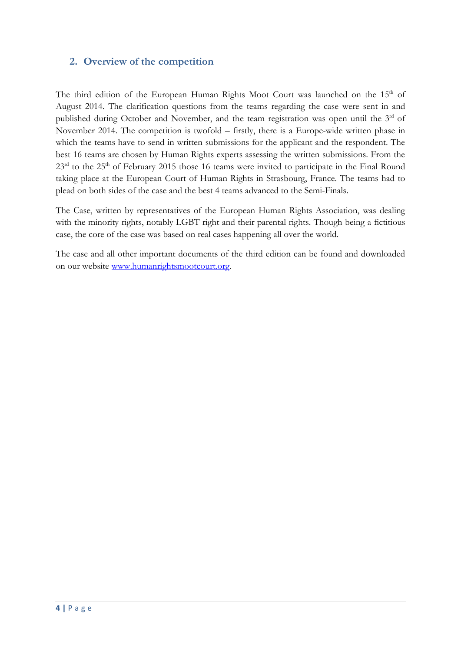## <span id="page-4-0"></span>**2. Overview of the competition**

The third edition of the European Human Rights Moot Court was launched on the 15<sup>th</sup> of August 2014. The clarification questions from the teams regarding the case were sent in and published during October and November, and the team registration was open until the 3<sup>rd</sup> of November 2014. The competition is twofold – firstly, there is a Europe-wide written phase in which the teams have to send in written submissions for the applicant and the respondent. The best 16 teams are chosen by Human Rights experts assessing the written submissions. From the 23<sup>rd</sup> to the 25<sup>th</sup> of February 2015 those 16 teams were invited to participate in the Final Round taking place at the European Court of Human Rights in Strasbourg, France. The teams had to plead on both sides of the case and the best 4 teams advanced to the Semi-Finals.

The Case, written by representatives of the European Human Rights Association, was dealing with the minority rights, notably LGBT right and their parental rights. Though being a fictitious case, the core of the case was based on real cases happening all over the world.

The case and all other important documents of the third edition can be found and downloaded on our website [www.humanrightsmootcourt.org.](http://www.humanrightsmootcourt.org/)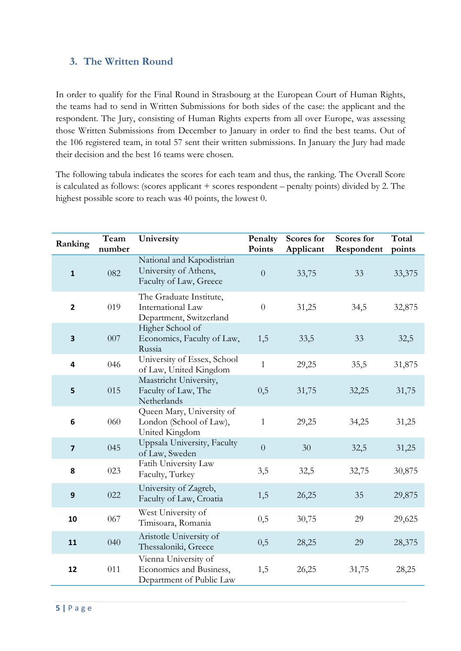## <span id="page-5-0"></span>**3. The Written Round**

In order to qualify for the Final Round in Strasbourg at the European Court of Human Rights, the teams had to send in Written Submissions for both sides of the case: the applicant and the respondent. The Jury, consisting of Human Rights experts from all over Europe, was assessing those Written Submissions from December to January in order to find the best teams. Out of the 106 registered team, in total 57 sent their written submissions. In January the Jury had made their decision and the best 16 teams were chosen.

The following tabula indicates the scores for each team and thus, the ranking. The Overall Score is calculated as follows: (scores applicant + scores respondent – penalty points) divided by 2. The highest possible score to reach was 40 points, the lowest 0.

| Ranking                 | Team<br>number | University                                                                   | Penalty<br>Points | Scores for<br>Applicant | Scores for<br>Respondent | Total<br>points |
|-------------------------|----------------|------------------------------------------------------------------------------|-------------------|-------------------------|--------------------------|-----------------|
| $\mathbf{1}$            | 082            | National and Kapodistrian<br>University of Athens,<br>Faculty of Law, Greece | $\overline{0}$    | 33,75                   | 33                       | 33,375          |
| $\overline{2}$          | 019            | The Graduate Institute,<br>International Law<br>Department, Switzerland      | $\overline{0}$    | 31,25                   | 34,5                     | 32,875          |
| 3                       | 007            | Higher School of<br>Economics, Faculty of Law,<br>Russia                     | 1,5               | 33,5                    | 33                       | 32,5            |
| 4                       | 046            | University of Essex, School<br>of Law, United Kingdom                        | $\mathbf{1}$      | 29,25                   | 35,5                     | 31,875          |
| 5                       | 015            | Maastricht University,<br>Faculty of Law, The<br>Netherlands                 | 0,5               | 31,75                   | 32,25                    | 31,75           |
| 6                       | 060            | Queen Mary, University of<br>London (School of Law),<br>United Kingdom       | $\mathbf{1}$      | 29,25                   | 34,25                    | 31,25           |
| $\overline{\mathbf{z}}$ | 045            | Uppsala University, Faculty<br>of Law, Sweden                                | $\overline{0}$    | 30                      | 32,5                     | 31,25           |
| 8                       | 023            | Fatih University Law<br>Faculty, Turkey                                      | 3,5               | 32,5                    | 32,75                    | 30,875          |
| 9                       | 022            | University of Zagreb,<br>Faculty of Law, Croatia                             | 1,5               | 26,25                   | 35                       | 29,875          |
| 10                      | 067            | West University of<br>Timisoara, Romania                                     | 0,5               | 30,75                   | 29                       | 29,625          |
| 11                      | 040            | Aristotle University of<br>Thessaloniki, Greece                              | 0,5               | 28,25                   | 29                       | 28,375          |
| 12                      | 011            | Vienna University of<br>Economics and Business,<br>Department of Public Law  | 1,5               | 26,25                   | 31,75                    | 28,25           |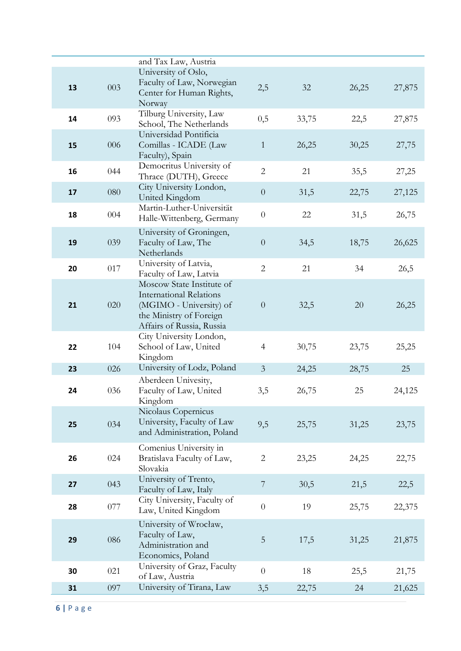|    |     | and Tax Law, Austria                                                                                                                           |                |       |       |        |
|----|-----|------------------------------------------------------------------------------------------------------------------------------------------------|----------------|-------|-------|--------|
|    |     | University of Oslo,                                                                                                                            |                |       |       |        |
| 13 | 003 | Faculty of Law, Norwegian<br>Center for Human Rights,                                                                                          | 2,5            | 32    | 26,25 | 27,875 |
|    |     | Norway<br>Tilburg University, Law                                                                                                              |                |       |       |        |
| 14 | 093 | School, The Netherlands<br>Universidad Pontificia                                                                                              | 0,5            | 33,75 | 22,5  | 27,875 |
| 15 | 006 | Comillas - ICADE (Law<br>Faculty), Spain                                                                                                       | $\mathbf{1}$   | 26,25 | 30,25 | 27,75  |
| 16 | 044 | Democritus University of<br>Thrace (DUTH), Greece                                                                                              | $\overline{2}$ | 21    | 35,5  | 27,25  |
| 17 | 080 | City University London,<br>United Kingdom                                                                                                      | $\overline{0}$ | 31,5  | 22,75 | 27,125 |
| 18 | 004 | Martin-Luther-Universität<br>Halle-Wittenberg, Germany                                                                                         | $\theta$       | 22    | 31,5  | 26,75  |
| 19 | 039 | University of Groningen,<br>Faculty of Law, The<br>Netherlands                                                                                 | $\overline{0}$ | 34,5  | 18,75 | 26,625 |
| 20 | 017 | University of Latvia,<br>Faculty of Law, Latvia                                                                                                | $\overline{2}$ | 21    | 34    | 26,5   |
| 21 | 020 | Moscow State Institute of<br><b>International Relations</b><br>(MGIMO - University) of<br>the Ministry of Foreign<br>Affairs of Russia, Russia | $\overline{0}$ | 32,5  | 20    | 26,25  |
| 22 | 104 | City University London,<br>School of Law, United<br>Kingdom                                                                                    | $\overline{4}$ | 30,75 | 23,75 | 25,25  |
| 23 | 026 | University of Lodz, Poland                                                                                                                     | $\overline{3}$ | 24,25 | 28,75 | 25     |
| 24 | 036 | Aberdeen Univesity,<br>Faculty of Law, United<br>Kingdom                                                                                       | 3,5            | 26,75 | 25    | 24,125 |
| 25 | 034 | Nicolaus Copernicus<br>University, Faculty of Law<br>and Administration, Poland                                                                | 9,5            | 25,75 | 31,25 | 23,75  |
| 26 | 024 | Comenius University in<br>Bratislava Faculty of Law,<br>Slovakia                                                                               | $\sqrt{2}$     | 23,25 | 24,25 | 22,75  |
| 27 | 043 | University of Trento,<br>Faculty of Law, Italy                                                                                                 | $\overline{7}$ | 30,5  | 21,5  | 22,5   |
| 28 | 077 | City University, Faculty of<br>Law, United Kingdom                                                                                             | $\theta$       | 19    | 25,75 | 22,375 |
| 29 | 086 | University of Wrocław,<br>Faculty of Law,<br>Administration and<br>Economics, Poland                                                           | 5              | 17,5  | 31,25 | 21,875 |
| 30 | 021 | University of Graz, Faculty<br>of Law, Austria                                                                                                 | $\overline{0}$ | 18    | 25,5  | 21,75  |
| 31 | 097 | University of Tirana, Law                                                                                                                      | 3,5            | 22,75 | 24    | 21,625 |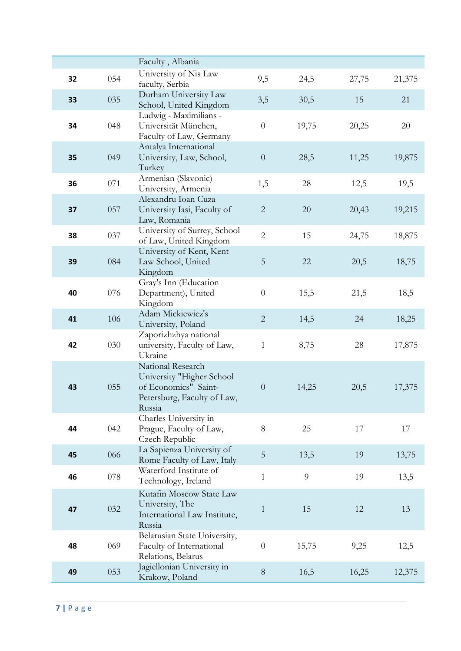|    |     | Faculty, Albania                                                                                                |                  |       |       |        |
|----|-----|-----------------------------------------------------------------------------------------------------------------|------------------|-------|-------|--------|
| 32 | 054 | University of Nis Law<br>faculty, Serbia                                                                        | 9,5              | 24,5  | 27,75 | 21,375 |
| 33 | 035 | Durham University Law<br>School, United Kingdom                                                                 | 3,5              | 30,5  | 15    | 21     |
| 34 | 048 | Ludwig - Maximilians -<br>Universität München,<br>Faculty of Law, Germany                                       | $\theta$         | 19,75 | 20,25 | 20     |
| 35 | 049 | Antalya International<br>University, Law, School,<br>Turkey                                                     | $\boldsymbol{0}$ | 28,5  | 11,25 | 19,875 |
| 36 | 071 | Armenian (Slavonic)<br>University, Armenia                                                                      | 1,5              | 28    | 12,5  | 19,5   |
| 37 | 057 | Alexandru Ioan Cuza<br>University Iasi, Faculty of<br>Law, Romania                                              | $\mathbf{2}$     | 20    | 20,43 | 19,215 |
| 38 | 037 | University of Surrey, School<br>of Law, United Kingdom                                                          | $\overline{2}$   | 15    | 24,75 | 18,875 |
| 39 | 084 | University of Kent, Kent<br>Law School, United<br>Kingdom                                                       | $\mathbf 5$      | 22    | 20,5  | 18,75  |
| 40 | 076 | Gray's Inn (Education<br>Department), United<br>Kingdom                                                         | $\boldsymbol{0}$ | 15,5  | 21,5  | 18,5   |
| 41 | 106 | Adam Mickiewicz's<br>University, Poland                                                                         | $\overline{2}$   | 14,5  | 24    | 18,25  |
| 42 | 030 | Zaporizhzhya national<br>university, Faculty of Law,<br>Ukraine                                                 | $\mathbf{1}$     | 8,75  | 28    | 17,875 |
| 43 | 055 | National Research<br>University "Higher School<br>of Economics" Saint-<br>Petersburg, Faculty of Law,<br>Russia | $\theta$         | 14,25 | 20,5  | 17,375 |
| 44 | 042 | Charles University in<br>Prague, Faculty of Law,<br>Czech Republic                                              | 8                | 25    | 17    | 17     |
| 45 | 066 | La Sapienza University of<br>Rome Faculty of Law, Italy                                                         | 5                | 13,5  | 19    | 13,75  |
| 46 | 078 | Waterford Institute of<br>Technology, Ireland                                                                   | $\mathbf{1}$     | 9     | 19    | 13,5   |
| 47 | 032 | Kutafin Moscow State Law<br>University, The<br>International Law Institute,<br>Russia                           | $\mathbf{1}$     | 15    | 12    | 13     |
| 48 | 069 | Belarusian State University,<br>Faculty of International<br>Relations, Belarus                                  | $\theta$         | 15,75 | 9,25  | 12,5   |
| 49 | 053 | Jagiellonian University in<br>Krakow, Poland                                                                    | $8\,$            | 16,5  | 16,25 | 12,375 |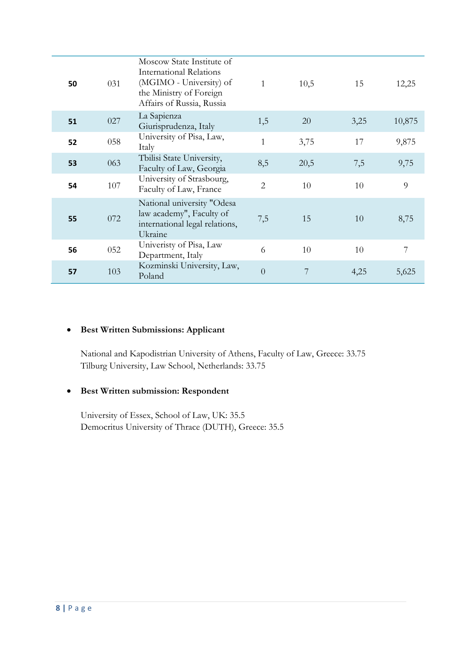| 50 | 031 | Moscow State Institute of<br>International Relations<br>(MGIMO - University) of<br>the Ministry of Foreign<br>Affairs of Russia, Russia | $\mathbf{1}$   | 10,5 | 15   | 12,25  |
|----|-----|-----------------------------------------------------------------------------------------------------------------------------------------|----------------|------|------|--------|
| 51 | 027 | La Sapienza<br>Giurisprudenza, Italy                                                                                                    | 1,5            | 20   | 3,25 | 10,875 |
| 52 | 058 | University of Pisa, Law,<br>Italy                                                                                                       | $\mathbf{1}$   | 3,75 | 17   | 9,875  |
| 53 | 063 | Tbilisi State University,<br>Faculty of Law, Georgia                                                                                    | 8,5            | 20,5 | 7,5  | 9,75   |
| 54 | 107 | University of Strasbourg,<br>Faculty of Law, France                                                                                     | $\overline{2}$ | 10   | 10   | 9      |
| 55 | 072 | National university "Odesa<br>law academy", Faculty of<br>international legal relations,<br>Ukraine                                     | 7,5            | 15   | 10   | 8,75   |
| 56 | 052 | Univeristy of Pisa, Law<br>Department, Italy                                                                                            | 6              | 10   | 10   | 7      |
| 57 | 103 | Kozminski University, Law,<br>Poland                                                                                                    | $\overline{0}$ | 7    | 4,25 | 5,625  |

### **•** Best Written Submissions: Applicant

National and Kapodistrian University of Athens, Faculty of Law, Greece: 33.75 Tilburg University, Law School, Netherlands: 33.75

# x **Best Written submission: Respondent**

University of Essex, School of Law, UK: 35.5 Democritus University of Thrace (DUTH), Greece: 35.5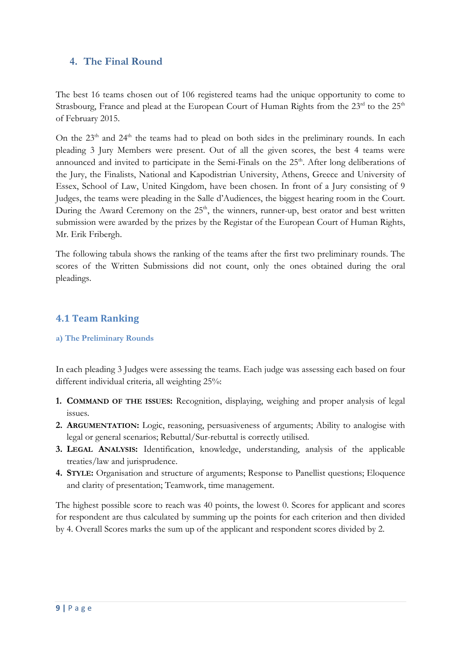## <span id="page-9-0"></span>**4. The Final Round**

The best 16 teams chosen out of 106 registered teams had the unique opportunity to come to Strasbourg, France and plead at the European Court of Human Rights from the 23<sup>rd</sup> to the 25<sup>th</sup> of February 2015.

On the  $23<sup>th</sup>$  and  $24<sup>th</sup>$  the teams had to plead on both sides in the preliminary rounds. In each pleading 3 Jury Members were present. Out of all the given scores, the best 4 teams were announced and invited to participate in the Semi-Finals on the 25<sup>th</sup>. After long deliberations of the Jury, the Finalists, National and Kapodistrian University, Athens, Greece and University of Essex, School of Law, United Kingdom, have been chosen. In front of a Jury consisting of 9 Judges, the teams were pleading in the Salle d'Audiences, the biggest hearing room in the Court. During the Award Ceremony on the  $25<sup>th</sup>$ , the winners, runner-up, best orator and best written submission were awarded by the prizes by the Registar of the European Court of Human Rights, Mr. Erik Fribergh.

The following tabula shows the ranking of the teams after the first two preliminary rounds. The scores of the Written Submissions did not count, only the ones obtained during the oral pleadings.

## <span id="page-9-1"></span>**4.1 Team Ranking**

#### <span id="page-9-2"></span>**a) The Preliminary Rounds**

In each pleading 3 Judges were assessing the teams. Each judge was assessing each based on four different individual criteria, all weighting 25%:

- **1. COMMAND OF THE ISSUES:** Recognition, displaying, weighing and proper analysis of legal issues.
- **2. ARGUMENTATION:** Logic, reasoning, persuasiveness of arguments; Ability to analogise with legal or general scenarios; Rebuttal/Sur-rebuttal is correctly utilised.
- **3. LEGAL ANALYSIS:** Identification, knowledge, understanding, analysis of the applicable treaties/law and jurisprudence.
- **4. STYLE:** Organisation and structure of arguments; Response to Panellist questions; Eloquence and clarity of presentation; Teamwork, time management.

The highest possible score to reach was 40 points, the lowest 0. Scores for applicant and scores for respondent are thus calculated by summing up the points for each criterion and then divided by 4. Overall Scores marks the sum up of the applicant and respondent scores divided by 2.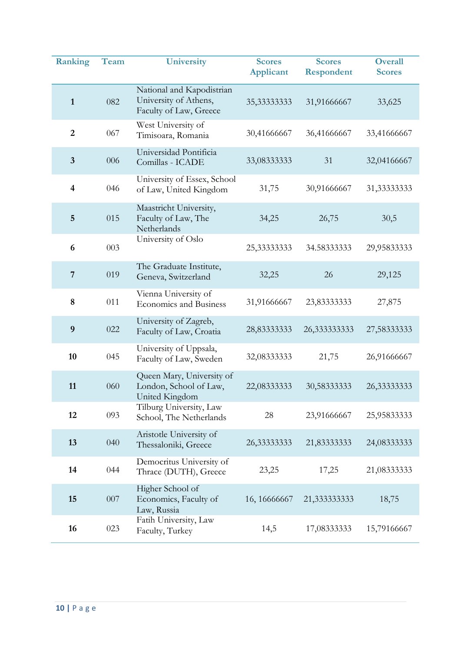| <b>Ranking</b>          | Team | <b>University</b>                                                            | <b>Scores</b><br><b>Applicant</b> | <b>Scores</b><br>Respondent | <b>Overall</b><br><b>Scores</b> |
|-------------------------|------|------------------------------------------------------------------------------|-----------------------------------|-----------------------------|---------------------------------|
| $\mathbf{1}$            | 082  | National and Kapodistrian<br>University of Athens,<br>Faculty of Law, Greece | 35,33333333                       | 31,91666667                 | 33,625                          |
| $\overline{2}$          | 067  | West University of<br>Timisoara, Romania                                     | 30,41666667                       | 36,41666667                 | 33,41666667                     |
| $\mathbf{3}$            | 006  | Universidad Pontificia<br>Comillas - ICADE                                   | 33,08333333                       | 31                          | 32,04166667                     |
| $\overline{\mathbf{4}}$ | 046  | University of Essex, School<br>of Law, United Kingdom                        | 31,75                             | 30,91666667                 | 31,33333333                     |
| 5                       | 015  | Maastricht University,<br>Faculty of Law, The<br>Netherlands                 | 34,25                             | 26,75                       | 30,5                            |
| 6                       | 003  | University of Oslo                                                           | 25,33333333                       | 34.58333333                 | 29,95833333                     |
| $\overline{7}$          | 019  | The Graduate Institute,<br>Geneva, Switzerland                               | 32,25                             | 26                          | 29,125                          |
| 8                       | 011  | Vienna University of<br><b>Economics and Business</b>                        | 31,91666667                       | 23,83333333                 | 27,875                          |
| 9                       | 022  | University of Zagreb,<br>Faculty of Law, Croatia                             | 28,83333333                       | 26,333333333                | 27,58333333                     |
| 10                      | 045  | University of Uppsala,<br>Faculty of Law, Sweden                             | 32,08333333                       | 21,75                       | 26,91666667                     |
| 11                      | 060  | Queen Mary, University of<br>London, School of Law,<br>United Kingdom        | 22,08333333                       | 30,583333333                | 26,33333333                     |
| 12                      | 093  | Tilburg University, Law<br>School, The Netherlands                           | 28                                | 23,91666667                 | 25,95833333                     |
| 13                      | 040  | Aristotle University of<br>Thessaloniki, Greece                              | 26,33333333                       | 21,83333333                 | 24,08333333                     |
| 14                      | 044  | Democritus University of<br>Thrace (DUTH), Greece                            | 23,25                             | 17,25                       | 21,08333333                     |
| 15                      | 007  | Higher School of<br>Economics, Faculty of<br>Law, Russia                     | 16, 16666667                      | 21,333333333                | 18,75                           |
| 16                      | 023  | Fatih University, Law<br>Faculty, Turkey                                     | 14,5                              | 17,08333333                 | 15,79166667                     |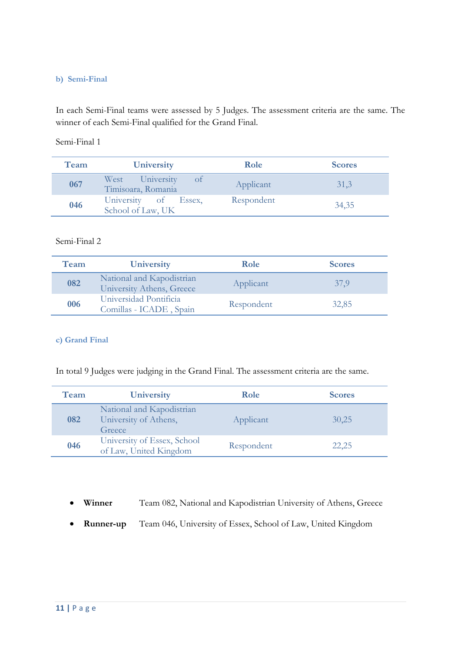#### <span id="page-11-0"></span>**b) Semi-Final**

In each Semi-Final teams were assessed by 5 Judges. The assessment criteria are the same. The winner of each Semi-Final qualified for the Grand Final.

Semi-Final 1

| Team | University                                          | Role       | <b>Scores</b> |
|------|-----------------------------------------------------|------------|---------------|
| 067  | West University<br><b>O</b> t<br>Timisoara, Romania | Applicant  | 31,3          |
| 046  | University of Essex,<br>School of Law, UK           | Respondent | 34,35         |

#### Semi-Final 2

| Team | University                                             | Role       | <b>Scores</b> |
|------|--------------------------------------------------------|------------|---------------|
| 082  | National and Kapodistrian<br>University Athens, Greece | Applicant  | 37.9          |
| 006  | Universidad Pontificia<br>Comillas - ICADE, Spain      | Respondent | 32,85         |

#### <span id="page-11-1"></span>**c) Grand Final**

In total 9 Judges were judging in the Grand Final. The assessment criteria are the same.

| Team | University                                                   | Role       | <b>Scores</b> |
|------|--------------------------------------------------------------|------------|---------------|
| 082  | National and Kapodistrian<br>University of Athens,<br>Greece | Applicant  | 30,25         |
| 046  | University of Essex, School<br>of Law, United Kingdom        | Respondent | 22,25         |

- x **Winner** Team 082, National and Kapodistrian University of Athens, Greece
- x **Runner-up** Team 046, University of Essex, School of Law, United Kingdom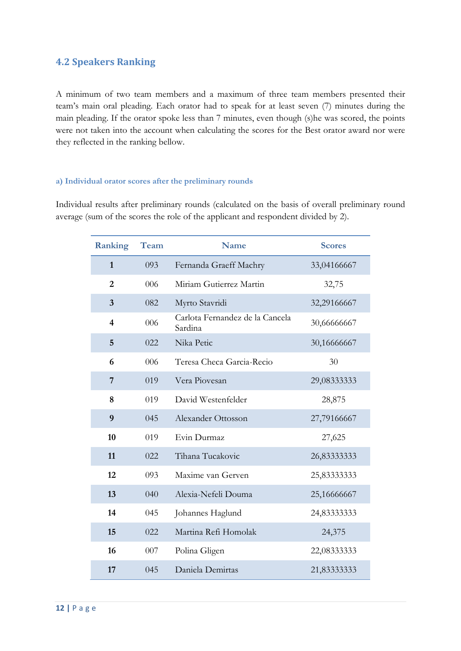## <span id="page-12-0"></span>**4.2 Speakers Ranking**

A minimum of two team members and a maximum of three team members presented their team's main oral pleading. Each orator had to speak for at least seven (7) minutes during the main pleading. If the orator spoke less than 7 minutes, even though (s)he was scored, the points were not taken into the account when calculating the scores for the Best orator award nor were they reflected in the ranking bellow.

#### <span id="page-12-1"></span>**a) Individual orator scores after the preliminary rounds**

Individual results after preliminary rounds (calculated on the basis of overall preliminary round average (sum of the scores the role of the applicant and respondent divided by 2).

| <b>Ranking</b>          | Team | <b>Name</b>                                | <b>Scores</b> |
|-------------------------|------|--------------------------------------------|---------------|
| $\mathbf{1}$            | 093  | Fernanda Graeff Machry                     | 33,04166667   |
| $\overline{2}$          | 006  | Miriam Gutierrez Martin                    | 32,75         |
| 3                       | 082  | Myrto Stavridi                             | 32,29166667   |
| $\overline{\mathbf{4}}$ | 006  | Carlota Fernandez de la Cancela<br>Sardina | 30,66666667   |
| 5                       | 022  | Nika Petic                                 | 30,16666667   |
| 6                       | 006  | Teresa Checa Garcia-Recio                  | 30            |
| 7                       | 019  | Vera Piovesan                              | 29,08333333   |
| 8                       | 019  | David Westenfelder                         | 28,875        |
| 9                       | 045  | Alexander Ottosson                         | 27,79166667   |
| 10                      | 019  | Evin Durmaz                                | 27,625        |
| 11                      | 022  | Tihana Tucakovic                           | 26,83333333   |
| 12                      | 093  | Maxime van Gerven                          | 25,83333333   |
| 13                      | 040  | Alexia-Nefeli Douma                        | 25,16666667   |
| 14                      | 045  | Johannes Haglund                           | 24,83333333   |
| 15                      | 022  | Martina Refi Homolak                       | 24,375        |
| 16                      | 007  | Polina Gligen                              | 22,08333333   |
| 17                      | 045  | Daniela Demirtas                           | 21,83333333   |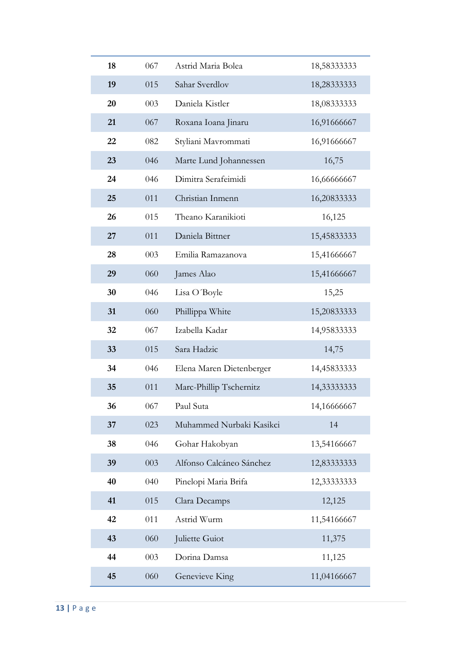| 18 | 067 | Astrid Maria Bolea       | 18,58333333 |
|----|-----|--------------------------|-------------|
| 19 | 015 | Sahar Sverdlov           | 18,28333333 |
| 20 | 003 | Daniela Kistler          | 18,08333333 |
| 21 | 067 | Roxana Ioana Jinaru      | 16,91666667 |
| 22 | 082 | Styliani Mavrommati      | 16,91666667 |
| 23 | 046 | Marte Lund Johannessen   | 16,75       |
| 24 | 046 | Dimitra Serafeimidi      | 16,66666667 |
| 25 | 011 | Christian Inmenn         | 16,20833333 |
| 26 | 015 | Theano Karanikioti       | 16,125      |
| 27 | 011 | Daniela Bittner          | 15,45833333 |
| 28 | 003 | Emilia Ramazanova        | 15,41666667 |
| 29 | 060 | James Alao               | 15,41666667 |
| 30 | 046 | Lisa O'Boyle             | 15,25       |
| 31 | 060 | Phillippa White          | 15,20833333 |
| 32 | 067 | Izabella Kadar           | 14,95833333 |
| 33 | 015 | Sara Hadzic              | 14,75       |
| 34 | 046 | Elena Maren Dietenberger | 14,45833333 |
| 35 | 011 | Marc-Phillip Tschernitz  | 14,33333333 |
| 36 | 067 | Paul Suta                | 14,16666667 |
| 37 | 023 | Muhammed Nurbaki Kasikci | 14          |
| 38 | 046 | Gohar Hakobyan           | 13,54166667 |
| 39 | 003 | Alfonso Calcáneo Sánchez | 12,83333333 |
| 40 | 040 | Pinelopi Maria Brifa     | 12,33333333 |
| 41 | 015 | Clara Decamps            | 12,125      |
| 42 | 011 | Astrid Wurm              | 11,54166667 |
| 43 | 060 | Juliette Guiot           | 11,375      |
| 44 | 003 | Dorina Damsa             | 11,125      |
| 45 | 060 | Genevieve King           | 11,04166667 |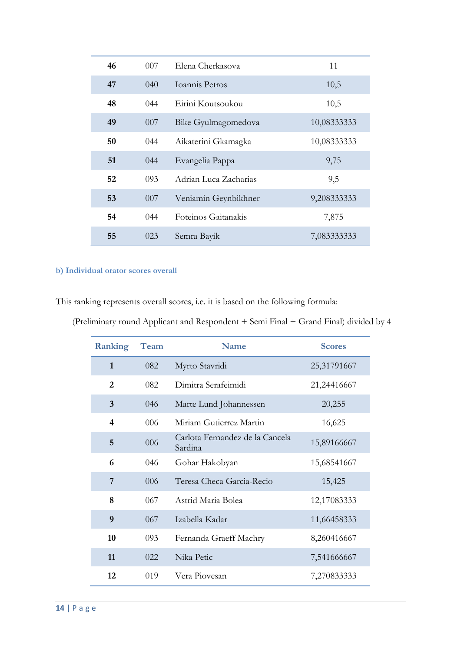| 46 | 007 | Elena Cherkasova      | 11          |
|----|-----|-----------------------|-------------|
| 47 | 040 | Ioannis Petros        | 10,5        |
| 48 | 044 | Eirini Koutsoukou     | 10,5        |
| 49 | 007 | Bike Gyulmagomedova   | 10,08333333 |
| 50 | 044 | Aikaterini Gkamagka   | 10,08333333 |
| 51 | 044 | Evangelia Pappa       | 9,75        |
| 52 | 093 | Adrian Luca Zacharias | 9,5         |
| 53 | 007 | Veniamin Geynbikhner  | 9,208333333 |
| 54 | 044 | Foteinos Gaitanakis   | 7,875       |
| 55 | 023 | Semra Bayik           | 7,083333333 |

## <span id="page-14-0"></span>**b) Individual orator scores overall**

This ranking represents overall scores, i.e. it is based on the following formula:

| <b>Ranking</b> | Team | <b>Name</b>                                | <b>Scores</b> |
|----------------|------|--------------------------------------------|---------------|
| $\mathbf{1}$   | 082  | Myrto Stavridi                             | 25,31791667   |
| $\overline{2}$ | 082  | Dimitra Serafeimidi                        | 21,24416667   |
| 3              | 046  | Marte Lund Johannessen                     | 20,255        |
| 4              | 006  | Miriam Gutierrez Martin                    | 16,625        |
| 5              | 006  | Carlota Fernandez de la Cancela<br>Sardina | 15,89166667   |
| 6              | 046  | Gohar Hakobyan                             | 15,68541667   |
| 7              | 006  | Teresa Checa Garcia-Recio                  | 15,425        |
| 8              | 067  | Astrid Maria Bolea                         | 12,17083333   |
| 9              | 067  | Izabella Kadar                             | 11,66458333   |
| 10             | 093  | Fernanda Graeff Machry                     | 8,260416667   |
| 11             | 022. | Nika Petic<br>7,541666667                  |               |
| 12             | 019  | Vera Piovesan<br>7,270833333               |               |

(Preliminary round Applicant and Respondent + Semi Final + Grand Final) divided by 4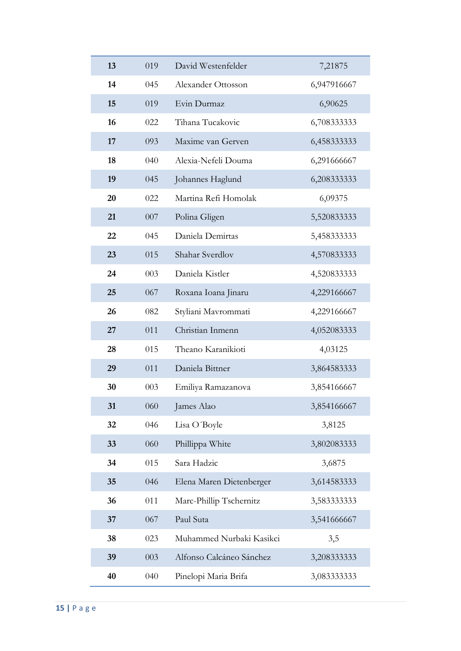| 13 | 019                    | David Westenfelder<br>7,21875           |             |  |
|----|------------------------|-----------------------------------------|-------------|--|
| 14 | 045                    | 6,947916667<br>Alexander Ottosson       |             |  |
| 15 | 019                    | Evin Durmaz                             | 6,90625     |  |
| 16 | 022                    | Tihana Tucakovic                        | 6,708333333 |  |
| 17 | 093                    | Maxime van Gerven                       | 6,458333333 |  |
| 18 | 040                    | Alexia-Nefeli Douma                     | 6,291666667 |  |
| 19 | 045                    | Johannes Haglund                        | 6,208333333 |  |
| 20 | 022                    | Martina Refi Homolak                    | 6,09375     |  |
| 21 | 007                    | Polina Gligen<br>5,520833333            |             |  |
| 22 | 045                    | Daniela Demirtas<br>5,458333333         |             |  |
| 23 | Shahar Sverdlov<br>015 |                                         | 4,570833333 |  |
| 24 | 003                    | Daniela Kistler<br>4,520833333          |             |  |
| 25 | 067                    | Roxana Ioana Jinaru                     | 4,229166667 |  |
| 26 | 082                    | Styliani Mavrommati                     | 4,229166667 |  |
| 27 | 011                    | Christian Inmenn                        | 4,052083333 |  |
| 28 | 015                    | Theano Karanikioti                      | 4,03125     |  |
| 29 | 011                    | Daniela Bittner                         | 3,864583333 |  |
| 30 | 003                    | 3,854166667<br>Emiliya Ramazanova       |             |  |
| 31 | 060                    | James Alao<br>3,854166667               |             |  |
| 32 | 046                    | Lisa O'Boyle<br>3,8125                  |             |  |
| 33 | 060                    | Phillippa White<br>3,802083333          |             |  |
| 34 | 015                    | Sara Hadzic                             | 3,6875      |  |
| 35 | 046                    | Elena Maren Dietenberger<br>3,614583333 |             |  |
| 36 | 011                    | Marc-Phillip Tschernitz<br>3,583333333  |             |  |
| 37 | 067                    | Paul Suta<br>3,541666667                |             |  |
| 38 | 023                    | Muhammed Nurbaki Kasikci<br>3,5         |             |  |
| 39 | 003                    | Alfonso Calcáneo Sánchez                | 3,208333333 |  |
| 40 | 040                    | Pinelopi Maria Brifa                    | 3,083333333 |  |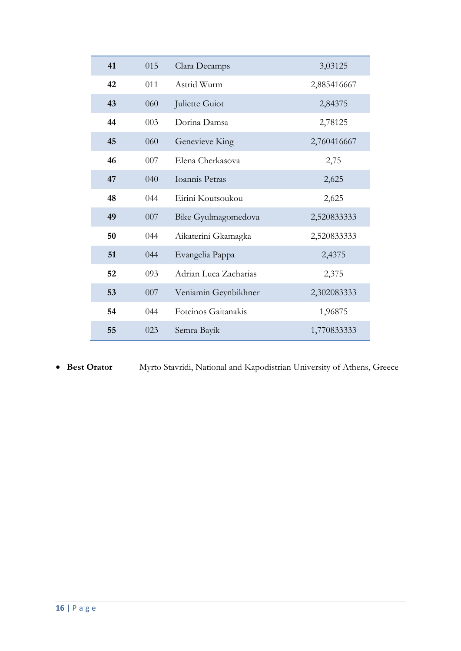| 41 | 015 | Clara Decamps<br>3,03125            |             |
|----|-----|-------------------------------------|-------------|
| 42 | 011 | Astrid Wurm                         | 2,885416667 |
| 43 | 060 | Juliette Guiot                      | 2,84375     |
| 44 | 003 | Dorina Damsa<br>2,78125             |             |
| 45 | 060 | Genevieve King<br>2,760416667       |             |
| 46 | 007 | Elena Cherkasova<br>2,75            |             |
| 47 | 040 | Ioannis Petras<br>2,625             |             |
| 48 | 044 | Eirini Koutsoukou<br>2,625          |             |
| 49 | 007 | 2,520833333<br>Bike Gyulmagomedova  |             |
| 50 | 044 | Aikaterini Gkamagka<br>2,520833333  |             |
| 51 | 044 | Evangelia Pappa<br>2,4375           |             |
| 52 | 093 | Adrian Luca Zacharias<br>2,375      |             |
| 53 | 007 | Veniamin Geynbikhner<br>2,302083333 |             |
| 54 | 044 | Foteinos Gaitanakis<br>1,96875      |             |
| 55 | 023 | Semra Bayik<br>1,770833333          |             |

**• Best Orator** Myrto Stavridi, National and Kapodistrian University of Athens, Greece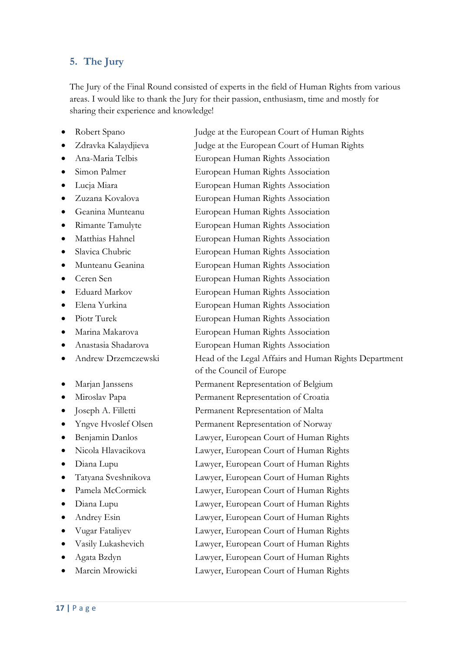# <span id="page-17-0"></span>**5. The Jury**

The Jury of the Final Round consisted of experts in the field of Human Rights from various areas. I would like to thank the Jury for their passion, enthusiasm, time and mostly for sharing their experience and knowledge!

- 
- 
- 
- 
- 
- 
- 
- 
- 
- 
- 
- 
- 
- 
- 
- 
- 
- 
- 
- 
- 
- 
- 
- 
- 
- 
- 
- 
- 
- 
- 
- 
- Marcin Mrowicki Lawyer, European Court of Human Rights

x Robert Spano Judge at the European Court of Human Rights • Zdravka Kalaydiieva Judge at the European Court of Human Rights x Ana-Maria Telbis European Human Rights Association Simon Palmer European Human Rights Association • Lucja Miara **European Human Rights Association** x Zuzana Kovalova European Human Rights Association • Geanina Munteanu European Human Rights Association • Rimante Tamulyte European Human Rights Association • Matthias Hahnel European Human Rights Association x Slavica Chubric European Human Rights Association x Munteanu Geanina European Human Rights Association x Ceren Sen European Human Rights Association • Eduard Markov European Human Rights Association • Elena Yurkina European Human Rights Association • Piotr Turek European Human Rights Association x Marina Makarova European Human Rights Association x Anastasia Shadarova European Human Rights Association Andrew Drzemczewski Head of the Legal Affairs and Human Rights Department of the Council of Europe x Marjan Janssens Permanent Representation of Belgium • Miroslav Papa Permanent Representation of Croatia • Joseph A. Filletti Permanent Representation of Malta • Yngve Hvoslef Olsen Permanent Representation of Norway • Benjamin Danlos Lawyer, European Court of Human Rights • Nicola Hlavacikova Lawyer, European Court of Human Rights • Diana Lupu Lawyer, European Court of Human Rights x Tatyana Sveshnikova Lawyer, European Court of Human Rights Pamela McCormick Lawyer, European Court of Human Rights • Diana Lupu Lawyer, European Court of Human Rights Andrey Esin Lawyer, European Court of Human Rights x Vugar Fataliyev Lawyer, European Court of Human Rights • Vasily Lukashevich Lawyer, European Court of Human Rights x Agata Bzdyn Lawyer, European Court of Human Rights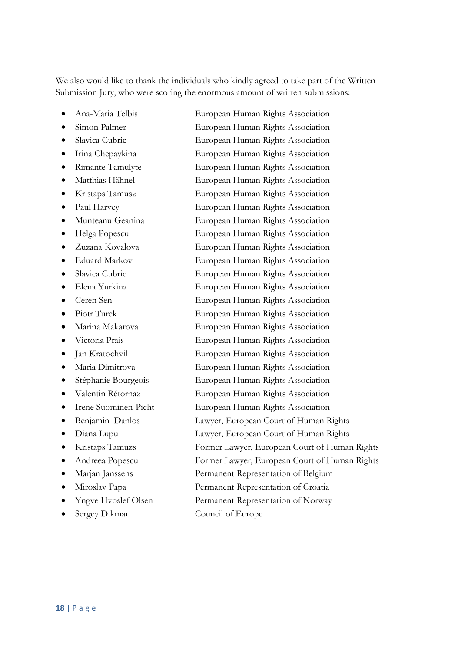We also would like to thank the individuals who kindly agreed to take part of the Written Submission Jury, who were scoring the enormous amount of written submissions:

- 
- 
- 
- 
- 
- 
- 
- 
- 
- 
- 
- 
- 
- 
- 
- 
- 
- 
- 
- 
- 
- 
- 
- 
- 
- 
- 
- 
- 
- 
- Sergey Dikman Council of Europe

x Ana-Maria Telbis European Human Rights Association • Simon Palmer European Human Rights Association • Slavica Cubric European Human Rights Association • Irina Chepaykina European Human Rights Association x Rimante Tamulyte European Human Rights Association x Matthias Hähnel European Human Rights Association x Kristaps Tamusz European Human Rights Association • Paul Harvey European Human Rights Association x Munteanu Geanina European Human Rights Association • Helga Popescu European Human Rights Association • Zuzana Kovalova European Human Rights Association Eduard Markov European Human Rights Association x Slavica Cubric European Human Rights Association x Elena Yurkina European Human Rights Association x Ceren Sen European Human Rights Association • Piotr Turek European Human Rights Association • Marina Makarova European Human Rights Association x Victoria Prais European Human Rights Association • Jan Kratochvil European Human Rights Association x Maria Dimitrova European Human Rights Association • Stéphanie Bourgeois European Human Rights Association x Valentin Rétornaz European Human Rights Association Irene Suominen-Picht European Human Rights Association Benjamin Danlos Lawyer, European Court of Human Rights • Diana Lupu Lawyer, European Court of Human Rights x Kristaps Tamuzs Former Lawyer, European Court of Human Rights x Andreea Popescu Former Lawyer, European Court of Human Rights x Marjan Janssens Permanent Representation of Belgium x Miroslav Papa Permanent Representation of Croatia x Yngve Hvoslef Olsen Permanent Representation of Norway